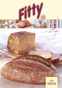